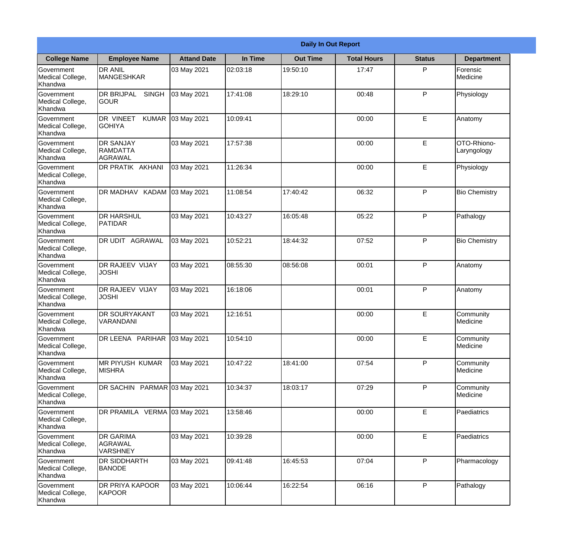|                                                  | <b>Daily In Out Report</b>                        |                    |          |                 |                    |               |                            |  |
|--------------------------------------------------|---------------------------------------------------|--------------------|----------|-----------------|--------------------|---------------|----------------------------|--|
| <b>College Name</b>                              | <b>Employee Name</b>                              | <b>Attand Date</b> | In Time  | <b>Out Time</b> | <b>Total Hours</b> | <b>Status</b> | <b>Department</b>          |  |
| Government<br>Medical College,<br>Khandwa        | <b>DR ANIL</b><br><b>MANGESHKAR</b>               | 03 May 2021        | 02:03:18 | 19:50:10        | 17:47              | P             | Forensic<br>Medicine       |  |
| Government<br>Medical College,<br>Khandwa        | <b>DR BRIJPAL</b><br><b>SINGH</b><br> GOUR        | 03 May 2021        | 17:41:08 | 18:29:10        | 00:48              | P             | Physiology                 |  |
| <b>Government</b><br>Medical College,<br>Khandwa | <b>DR VINEET</b><br><b>KUMAR</b><br><b>GOHIYA</b> | 03 May 2021        | 10:09:41 |                 | 00:00              | E             | Anatomy                    |  |
| <b>Government</b><br>Medical College,<br>Khandwa | <b>DR SANJAY</b><br>RAMDATTA<br><b>AGRAWAL</b>    | 03 May 2021        | 17:57:38 |                 | 00:00              | E             | OTO-Rhiono-<br>Laryngology |  |
| Government<br>Medical College,<br>Khandwa        | DR PRATIK AKHANI                                  | 03 May 2021        | 11:26:34 |                 | 00:00              | E             | Physiology                 |  |
| Government<br>Medical College,<br>Khandwa        | DR MADHAV KADAM                                   | 03 May 2021        | 11:08:54 | 17:40:42        | 06:32              | P             | <b>Bio Chemistry</b>       |  |
| <b>Government</b><br>Medical College,<br>Khandwa | <b>DR HARSHUL</b><br><b>PATIDAR</b>               | 03 May 2021        | 10:43:27 | 16:05:48        | 05:22              | P             | Pathalogy                  |  |
| <b>Government</b><br>Medical College,<br>Khandwa | <b>DR UDIT AGRAWAL</b>                            | 03 May 2021        | 10:52:21 | 18:44:32        | 07:52              | P             | <b>Bio Chemistry</b>       |  |
| Government<br>Medical College,<br>Khandwa        | <b>DR RAJEEV VIJAY</b><br><b>JOSHI</b>            | 03 May 2021        | 08:55:30 | 08:56:08        | 00:01              | P             | Anatomy                    |  |
| Government<br>Medical College,<br>Khandwa        | <b>DR RAJEEV VIJAY</b><br><b>JOSHI</b>            | 03 May 2021        | 16:18:06 |                 | 00:01              | P             | Anatomy                    |  |
| Government<br>Medical College,<br>Khandwa        | <b>DR SOURYAKANT</b><br>VARANDANI                 | 03 May 2021        | 12:16:51 |                 | 00:00              | E             | Community<br>Medicine      |  |
| Government<br>Medical College,<br>Khandwa        | DR LEENA PARIHAR                                  | 03 May 2021        | 10:54:10 |                 | 00:00              | E             | Community<br>Medicine      |  |
| Government<br>Medical College,<br>Khandwa        | <b>MR PIYUSH KUMAR</b><br><b>MISHRA</b>           | 03 May 2021        | 10:47:22 | 18:41:00        | 07:54              | P             | Community<br>Medicine      |  |
| Government<br>Medical College,<br>Khandwa        | DR SACHIN PARMAR 03 May 2021                      |                    | 10:34:37 | 18:03:17        | 07:29              | P             | Community<br>Medicine      |  |
| <b>Government</b><br>Medical College,<br>Khandwa | DR PRAMILA VERMA 03 May 2021                      |                    | 13:58:46 |                 | 00:00              | E             | Paediatrics                |  |
| Government<br>Medical College,<br>Khandwa        | <b>DR GARIMA</b><br>AGRAWAL<br><b>VARSHNEY</b>    | 03 May 2021        | 10:39:28 |                 | 00:00              | E             | Paediatrics                |  |
| Government<br>Medical College,<br>Khandwa        | <b>DR SIDDHARTH</b><br><b>BANODE</b>              | 03 May 2021        | 09:41:48 | 16:45:53        | 07:04              | P             | Pharmacology               |  |
| Government<br>Medical College,<br>Khandwa        | <b>DR PRIYA KAPOOR</b><br>KAPOOR                  | 03 May 2021        | 10:06:44 | 16:22:54        | 06:16              | P             | Pathalogy                  |  |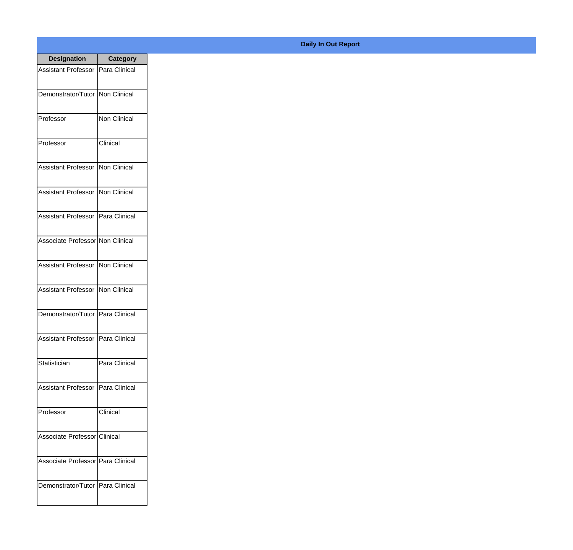| <b>Designation</b>                         | <b>Category</b>     |
|--------------------------------------------|---------------------|
| <b>Assistant Professor   Para Clinical</b> |                     |
| Demonstrator/Tutor   Non Clinical          |                     |
| Professor                                  | <b>Non Clinical</b> |
| Professor                                  | Clinical            |
| <b>Assistant Professor</b>                 | <b>Non Clinical</b> |
| <b>Assistant Professor</b>                 | Non Clinical        |
| Assistant Professor   Para Clinical        |                     |
| Associate Professor Non Clinical           |                     |
| Assistant Professor                        | Non Clinical        |
| <b>Assistant Professor</b>                 | Non Clinical        |
| Demonstrator/Tutor                         | Para Clinical       |
| Assistant Professor   Para Clinical        |                     |
| Statistician                               | Para Clinical       |
| Assistant Professor   Para Clinical        |                     |
| Professor                                  | Clinical            |
| Associate Professor Clinical               |                     |
| Associate Professor   Para Clinical        |                     |
| Demonstrator/Tutor   Para Clinical         |                     |

## **Daily In Out Report**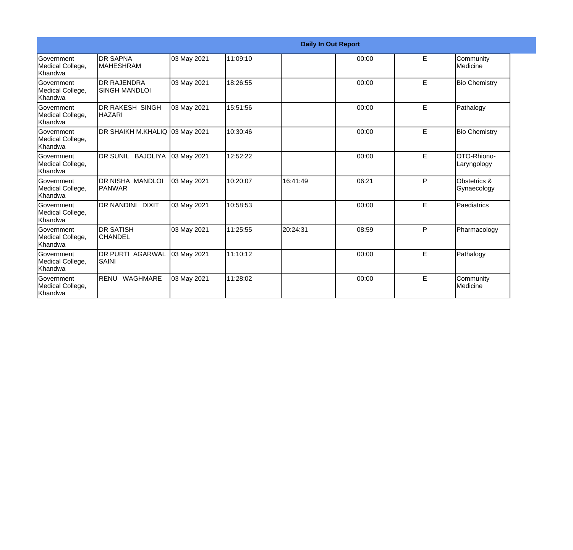|                                                  | <b>Daily In Out Report</b>                 |             |          |          |       |   |                                   |  |
|--------------------------------------------------|--------------------------------------------|-------------|----------|----------|-------|---|-----------------------------------|--|
| Government<br>Medical College,<br><b>Khandwa</b> | <b>DR SAPNA</b><br><b>MAHESHRAM</b>        | 03 May 2021 | 11:09:10 |          | 00:00 | E | Community<br>Medicine             |  |
| <b>Sovernment</b><br>Medical College,<br>Khandwa | <b>DR RAJENDRA</b><br><b>SINGH MANDLOI</b> | 03 May 2021 | 18:26:55 |          | 00:00 | E | <b>Bio Chemistry</b>              |  |
| <b>Government</b><br>Medical College,<br>Khandwa | <b>DR RAKESH SINGH</b><br><b>HAZARI</b>    | 03 May 2021 | 15:51:56 |          | 00:00 | E | Pathalogy                         |  |
| <b>Sovernment</b><br>Medical College,<br>Khandwa | DR SHAIKH M.KHALIQ 03 May 2021             |             | 10:30:46 |          | 00:00 | E | <b>Bio Chemistry</b>              |  |
| Government<br>Medical College,<br>Khandwa        | DR SUNIL BAJOLIYA                          | 03 May 2021 | 12:52:22 |          | 00:00 | E | <b>OTO-Rhiono-</b><br>Laryngology |  |
| Government<br>Medical College,<br>Khandwa        | <b>DR NISHA MANDLOI</b><br>PANWAR          | 03 May 2021 | 10:20:07 | 16:41:49 | 06:21 | P | Obstetrics &<br>Gynaecology       |  |
| Government<br>Medical College,<br>Khandwa        | <b>DR NANDINI DIXIT</b>                    | 03 May 2021 | 10:58:53 |          | 00:00 | E | Paediatrics                       |  |
| Government<br>Medical College,<br>Khandwa        | <b>DR SATISH</b><br><b>CHANDEL</b>         | 03 May 2021 | 11:25:55 | 20:24:31 | 08:59 | P | Pharmacology                      |  |
| Government<br>Medical College,<br>Khandwa        | <b>DR PURTI AGARWAL</b><br>SAINI           | 03 May 2021 | 11:10:12 |          | 00:00 | E | Pathalogy                         |  |
| Government<br>Medical College,<br>Khandwa        | RENU WAGHMARE                              | 03 May 2021 | 11:28:02 |          | 00:00 | E | Community<br>Medicine             |  |